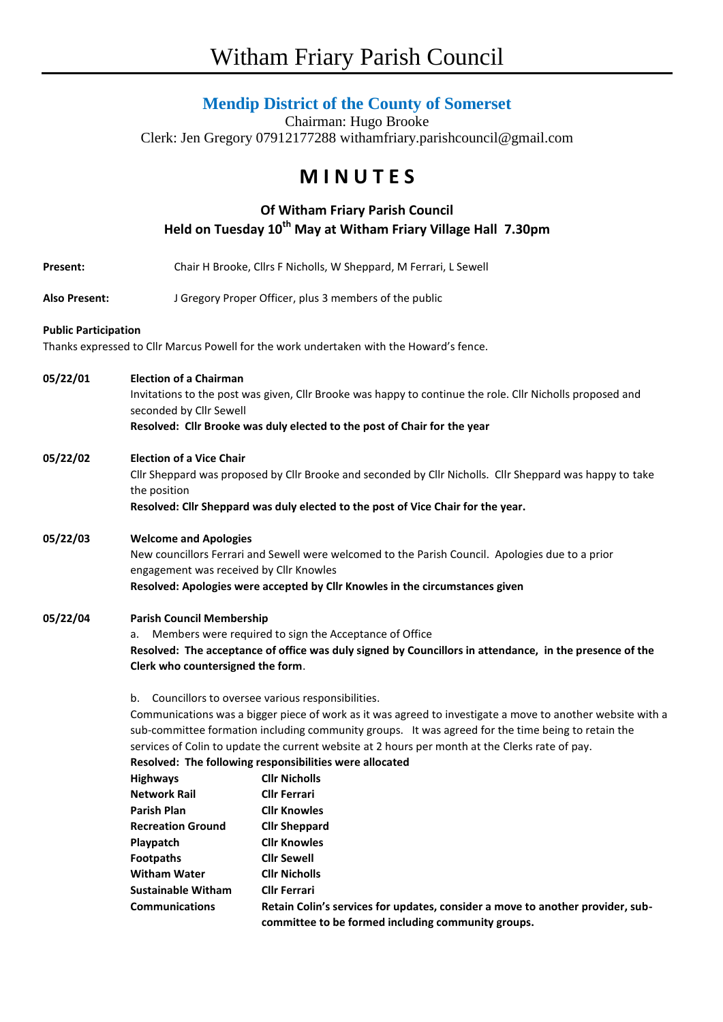# Witham Friary Parish Council

### **Mendip District of the County of Somerset**

Chairman: Hugo Brooke Clerk: Jen Gregory 07912177288 withamfriary.parishcouncil@gmail.com

## **M I N U T E S**

### **Of Witham Friary Parish Council Held on Tuesday 10th May at Witham Friary Village Hall 7.30pm**

| <b>Present:</b>             |                                                                                                                          | Chair H Brooke, Cllrs F Nicholls, W Sheppard, M Ferrari, L Sewell                       |  |  |
|-----------------------------|--------------------------------------------------------------------------------------------------------------------------|-----------------------------------------------------------------------------------------|--|--|
| <b>Also Present:</b>        |                                                                                                                          | J Gregory Proper Officer, plus 3 members of the public                                  |  |  |
| <b>Public Participation</b> |                                                                                                                          |                                                                                         |  |  |
|                             |                                                                                                                          | Thanks expressed to Cllr Marcus Powell for the work undertaken with the Howard's fence. |  |  |
| 05/22/01                    | <b>Election of a Chairman</b>                                                                                            |                                                                                         |  |  |
|                             | Invitations to the post was given, Cllr Brooke was happy to continue the role. Cllr Nicholls proposed and                |                                                                                         |  |  |
|                             | seconded by Cllr Sewell                                                                                                  |                                                                                         |  |  |
|                             | Resolved: Cllr Brooke was duly elected to the post of Chair for the year                                                 |                                                                                         |  |  |
| 05/22/02                    | <b>Election of a Vice Chair</b>                                                                                          |                                                                                         |  |  |
|                             | Cllr Sheppard was proposed by Cllr Brooke and seconded by Cllr Nicholls. Cllr Sheppard was happy to take<br>the position |                                                                                         |  |  |
|                             | Resolved: Cllr Sheppard was duly elected to the post of Vice Chair for the year.                                         |                                                                                         |  |  |
| 05/22/03                    | <b>Welcome and Apologies</b>                                                                                             |                                                                                         |  |  |
|                             | New councillors Ferrari and Sewell were welcomed to the Parish Council. Apologies due to a prior                         |                                                                                         |  |  |
|                             | engagement was received by Cllr Knowles                                                                                  |                                                                                         |  |  |
|                             | Resolved: Apologies were accepted by Cllr Knowles in the circumstances given                                             |                                                                                         |  |  |
| 05/22/04                    | <b>Parish Council Membership</b>                                                                                         |                                                                                         |  |  |
|                             | Members were required to sign the Acceptance of Office<br>а.                                                             |                                                                                         |  |  |
|                             | Resolved: The acceptance of office was duly signed by Councillors in attendance, in the presence of the                  |                                                                                         |  |  |
|                             | Clerk who countersigned the form.                                                                                        |                                                                                         |  |  |
|                             | b. Councillors to oversee various responsibilities.                                                                      |                                                                                         |  |  |
|                             | Communications was a bigger piece of work as it was agreed to investigate a move to another website with a               |                                                                                         |  |  |
|                             | sub-committee formation including community groups. It was agreed for the time being to retain the                       |                                                                                         |  |  |
|                             | services of Colin to update the current website at 2 hours per month at the Clerks rate of pay.                          |                                                                                         |  |  |
|                             | Resolved: The following responsibilities were allocated                                                                  |                                                                                         |  |  |
|                             | <b>Highways</b>                                                                                                          | <b>Cllr Nicholls</b>                                                                    |  |  |
|                             | <b>Network Rail</b>                                                                                                      | <b>Cllr Ferrari</b>                                                                     |  |  |
|                             | <b>Parish Plan</b>                                                                                                       | <b>Cllr Knowles</b>                                                                     |  |  |
|                             | <b>Recreation Ground</b>                                                                                                 | <b>Cllr Sheppard</b>                                                                    |  |  |
|                             | Playpatch                                                                                                                | <b>Cllr Knowles</b>                                                                     |  |  |
|                             | <b>Footpaths</b>                                                                                                         | <b>Cllr Sewell</b>                                                                      |  |  |
|                             | <b>Witham Water</b>                                                                                                      | <b>Cllr Nicholls</b>                                                                    |  |  |
|                             | <b>Sustainable Witham</b>                                                                                                | <b>Cllr Ferrari</b>                                                                     |  |  |
|                             | <b>Communications</b>                                                                                                    | Retain Colin's services for updates, consider a move to another provider, sub-          |  |  |
|                             |                                                                                                                          | committee to be formed including community groups.                                      |  |  |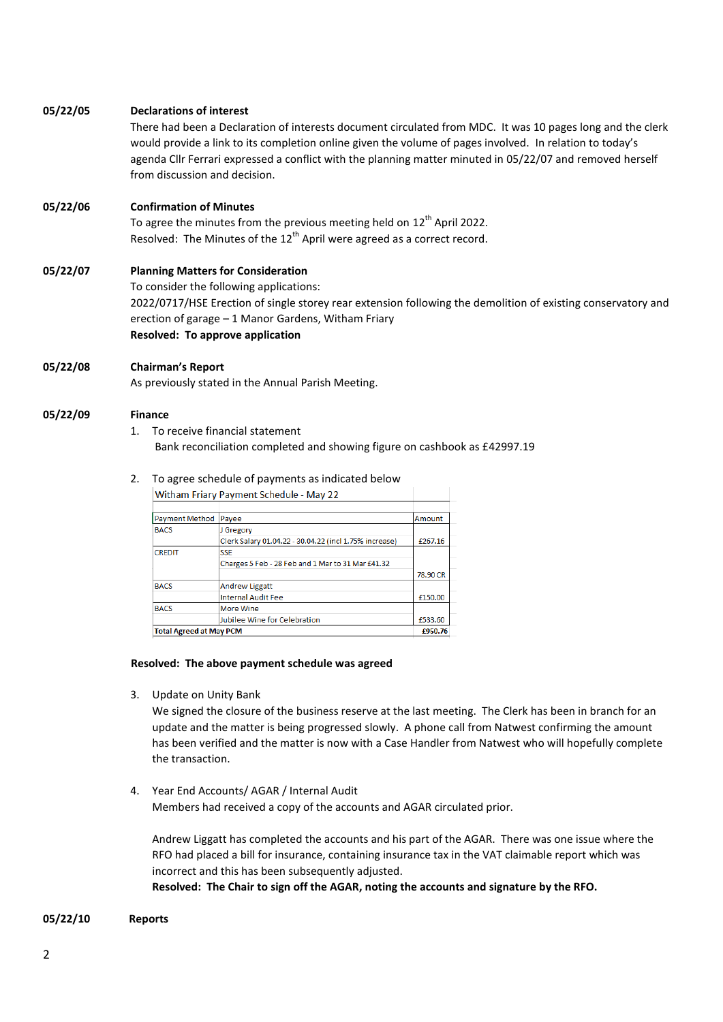#### **05/22/05 Declarations of interest**

There had been a Declaration of interests document circulated from MDC. It was 10 pages long and the clerk would provide a link to its completion online given the volume of pages involved. In relation to today's agenda Cllr Ferrari expressed a conflict with the planning matter minuted in 05/22/07 and removed herself from discussion and decision.

#### **05/22/06 Confirmation of Minutes**

To agree the minutes from the previous meeting held on  $12<sup>th</sup>$  April 2022. Resolved: The Minutes of the  $12<sup>th</sup>$  April were agreed as a correct record.

#### **05/22/07 Planning Matters for Consideration** To consider the following applications: 2022/0717/HSE Erection of single storey rear extension following the demolition of existing conservatory and erection of garage – 1 Manor Gardens, Witham Friary **Resolved: To approve application**

#### **05/22/08 Chairman's Report**

As previously stated in the Annual Parish Meeting.

#### **05/22/09 Finance**

#### 1. To receive financial statement Bank reconciliation completed and showing figure on cashbook as £42997.19

#### 2. To agree schedule of payments as indicated below

Withom Frian: Daymont Schodule May 22

| <u>Withden Fight Provincing Schedule - Widy ZZ</u> |                                                        |          |  |
|----------------------------------------------------|--------------------------------------------------------|----------|--|
|                                                    |                                                        |          |  |
| Payment Method                                     | Payee                                                  | Amount   |  |
| <b>BACS</b>                                        | J Gregory                                              |          |  |
|                                                    | Clerk Salary 01.04.22 - 30.04.22 (incl 1.75% increase) | £267.16  |  |
| <b>CREDIT</b>                                      | <b>SSE</b>                                             |          |  |
|                                                    | Charges 5 Feb - 28 Feb and 1 Mar to 31 Mar £41.32      |          |  |
|                                                    |                                                        | 78,90 CR |  |
| <b>BACS</b>                                        | <b>Andrew Liggatt</b>                                  |          |  |
|                                                    | <b>Internal Audit Fee</b>                              | £150.00  |  |
| <b>BACS</b>                                        | <b>More Wine</b>                                       |          |  |
|                                                    | Jubilee Wine for Celebration                           | £533.60  |  |
| <b>Total Agreed at May PCM</b>                     |                                                        |          |  |

#### **Resolved: The above payment schedule was agreed**

3. Update on Unity Bank

We signed the closure of the business reserve at the last meeting. The Clerk has been in branch for an update and the matter is being progressed slowly. A phone call from Natwest confirming the amount has been verified and the matter is now with a Case Handler from Natwest who will hopefully complete the transaction.

4. Year End Accounts/ AGAR / Internal Audit Members had received a copy of the accounts and AGAR circulated prior.

Andrew Liggatt has completed the accounts and his part of the AGAR. There was one issue where the RFO had placed a bill for insurance, containing insurance tax in the VAT claimable report which was incorrect and this has been subsequently adjusted.

**Resolved: The Chair to sign off the AGAR, noting the accounts and signature by the RFO.** 

#### **05/22/10 Reports**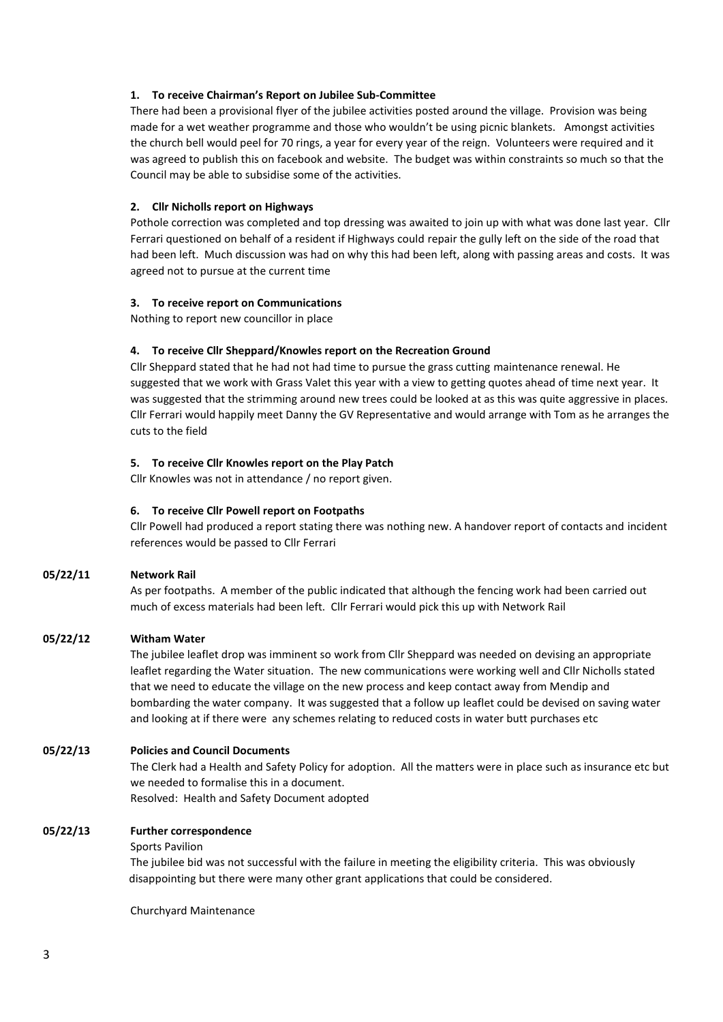#### **1. To receive Chairman's Report on Jubilee Sub-Committee**

There had been a provisional flyer of the jubilee activities posted around the village. Provision was being made for a wet weather programme and those who wouldn't be using picnic blankets. Amongst activities the church bell would peel for 70 rings, a year for every year of the reign. Volunteers were required and it was agreed to publish this on facebook and website. The budget was within constraints so much so that the Council may be able to subsidise some of the activities.

#### **2. Cllr Nicholls report on Highways**

Pothole correction was completed and top dressing was awaited to join up with what was done last year. Cllr Ferrari questioned on behalf of a resident if Highways could repair the gully left on the side of the road that had been left. Much discussion was had on why this had been left, along with passing areas and costs. It was agreed not to pursue at the current time

#### **3. To receive report on Communications**

Nothing to report new councillor in place

#### **4. To receive Cllr Sheppard/Knowles report on the Recreation Ground**

Cllr Sheppard stated that he had not had time to pursue the grass cutting maintenance renewal. He suggested that we work with Grass Valet this year with a view to getting quotes ahead of time next year. It was suggested that the strimming around new trees could be looked at as this was quite aggressive in places. Cllr Ferrari would happily meet Danny the GV Representative and would arrange with Tom as he arranges the cuts to the field

#### **5. To receive Cllr Knowles report on the Play Patch**

Cllr Knowles was not in attendance / no report given.

#### **6. To receive Cllr Powell report on Footpaths**

Cllr Powell had produced a report stating there was nothing new. A handover report of contacts and incident references would be passed to Cllr Ferrari

#### **05/22/11 Network Rail**

As per footpaths. A member of the public indicated that although the fencing work had been carried out much of excess materials had been left. Cllr Ferrari would pick this up with Network Rail

#### **05/22/12 Witham Water**

The jubilee leaflet drop was imminent so work from Cllr Sheppard was needed on devising an appropriate leaflet regarding the Water situation. The new communications were working well and Cllr Nicholls stated that we need to educate the village on the new process and keep contact away from Mendip and bombarding the water company. It was suggested that a follow up leaflet could be devised on saving water and looking at if there were any schemes relating to reduced costs in water butt purchases etc

#### **05/22/13 Policies and Council Documents**

The Clerk had a Health and Safety Policy for adoption. All the matters were in place such as insurance etc but we needed to formalise this in a document.

Resolved: Health and Safety Document adopted

#### **05/22/13 Further correspondence**

#### Sports Pavilion

The jubilee bid was not successful with the failure in meeting the eligibility criteria. This was obviously disappointing but there were many other grant applications that could be considered.

Churchyard Maintenance